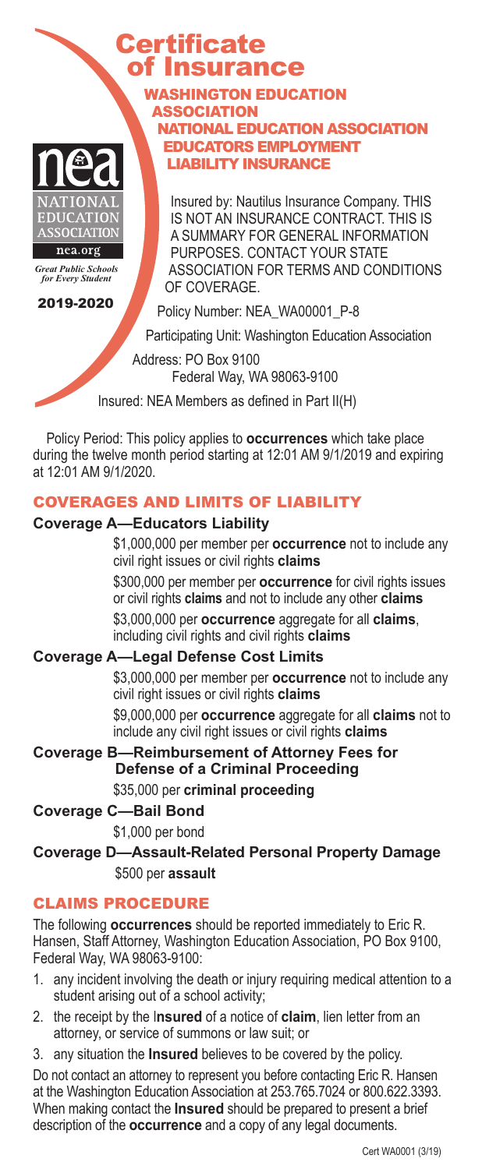# **Certificate** of Insurance WASHINGTON EDUCATION

ASSOCIATION



*Great Public Schools for Every Student*

LIABILITY INSURANCE Insured by: Nautilus Insurance Company. THIS IS NOT AN INSURANCE CONTRACT. THIS IS A SUMMARY FOR GENERAL INFORMATION PURPOSES. CONTACT YOUR STATE ASSOCIATION FOR TERMS AND CONDITIONS

NATIONAL EDUCATION ASSOCIATION EDUCATORS EMPLOYMENT

2019-2020

Policy Number: NEA\_WA00001\_P-8

Participating Unit: Washington Education Association

Address: PO Box 9100 Federal Way, WA 98063-9100

Insured: NEA Members as defined in Part II(H)

OF COVERAGE

Policy Period: This policy applies to **occurrences** which take place during the twelve month period starting at 12:01 AM 9/1/2019 and expiring at 12:01 AM 9/1/2020.

# COVERAGES AND LIMITS OF LIABILITY

### **Coverage A—Educators Liability**

\$1,000,000 per member per **occurrence** not to include any civil right issues or civil rights **claims**

\$300,000 per member per **occurrence** for civil rights issues or civil rights **claims** and not to include any other **claims**

\$3,000,000 per **occurrence** aggregate for all **claims**, including civil rights and civil rights **claims**

# **Coverage A—Legal Defense Cost Limits**

\$3,000,000 per member per **occurrence** not to include any civil right issues or civil rights **claims**

\$9,000,000 per **occurrence** aggregate for all **claims** not to include any civil right issues or civil rights **claims**

**Coverage B—Reimbursement of Attorney Fees for Defense of a Criminal Proceeding** \$35,000 per **criminal proceeding**

**Coverage C—Bail Bond**

\$1,000 per bond

**Coverage D—Assault-Related Personal Property Damage** \$500 per **assault**

# CLAIMS PROCEDURE

The following **occurrences** should be reported immediately to Eric R. Hansen, Staff Attorney, Washington Education Association, PO Box 9100, Federal Way, WA 98063-9100:

- 1. any incident involving the death or injury requiring medical attention to a student arising out of a school activity;
- 2. the receipt by the I**nsured** of a notice of **claim**, lien letter from an attorney, or service of summons or law suit; or
- 3. any situation the **Insured** believes to be covered by the policy.

Do not contact an attorney to represent you before contacting Eric R. Hansen at the Washington Education Association at 253.765.7024 or 800.622.3393. When making contact the **Insured** should be prepared to present a brief description of the **occurrence** and a copy of any legal documents.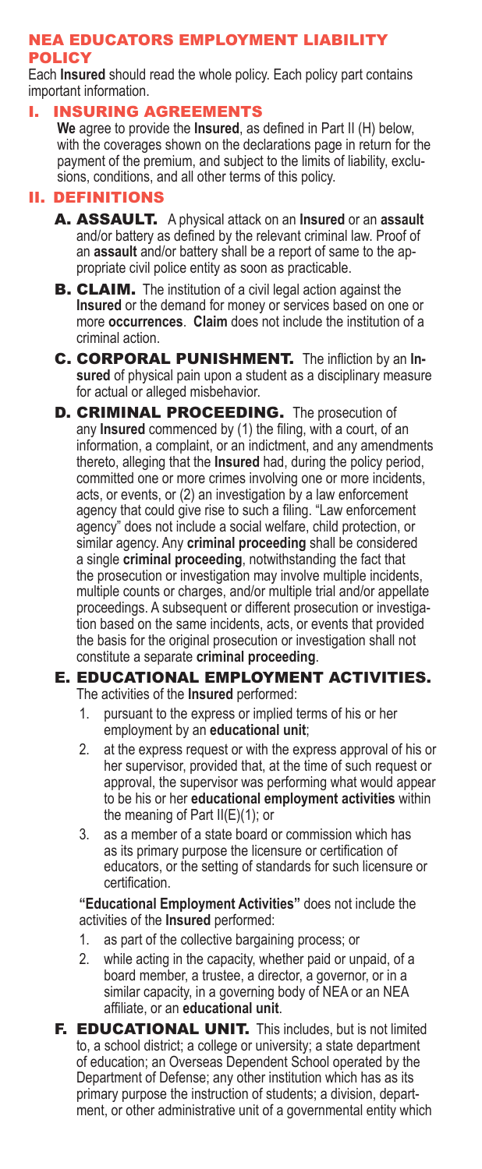## NEA EDUCATORS EMPLOYMENT LIABILITY **POLICY**

Each **Insured** should read the whole policy. Each policy part contains important information.

## I. INSURING AGREEMENTS

**We** agree to provide the **Insured**, as defined in Part II (H) below, with the coverages shown on the declarations page in return for the payment of the premium, and subject to the limits of liability, exclusions, conditions, and all other terms of this policy.

## II. DEFINITIONS

- A. ASSAULT. A physical attack on an **Insured** or an **assault** and/or battery as defined by the relevant criminal law. Proof of an **assault** and/or battery shall be a report of same to the appropriate civil police entity as soon as practicable.
- **B. CLAIM.** The institution of a civil legal action against the **Insured** or the demand for money or services based on one or more **occurrences**. **Claim** does not include the institution of a criminal action.
- C. CORPORAL PUNISHMENT. The infliction by an **Insured** of physical pain upon a student as a disciplinary measure for actual or alleged misbehavior.
- **D. CRIMINAL PROCEEDING.** The prosecution of any **Insured** commenced by (1) the filing, with a court, of an information, a complaint, or an indictment, and any amendments thereto, alleging that the **Insured** had, during the policy period, committed one or more crimes involving one or more incidents, acts, or events, or (2) an investigation by a law enforcement agency that could give rise to such a filing. "Law enforcement agency" does not include a social welfare, child protection, or similar agency. Any **criminal proceeding** shall be considered a single **criminal proceeding**, notwithstanding the fact that the prosecution or investigation may involve multiple incidents, multiple counts or charges, and/or multiple trial and/or appellate proceedings. A subsequent or different prosecution or investigation based on the same incidents, acts, or events that provided the basis for the original prosecution or investigation shall not constitute a separate **criminal proceeding**.

#### E. EDUCATIONAL EMPLOYMENT ACTIVITIES. The activities of the **Insured** performed:

- 1. pursuant to the express or implied terms of his or her employment by an **educational unit**;
- 2. at the express request or with the express approval of his or her supervisor, provided that, at the time of such request or approval, the supervisor was performing what would appear to be his or her **educational employment activities** within the meaning of Part II(E)(1); or
- 3. as a member of a state board or commission which has as its primary purpose the licensure or certification of educators, or the setting of standards for such licensure or certification.

**"Educational Employment Activities"** does not include the activities of the **Insured** performed:

- 1. as part of the collective bargaining process; or
- 2. while acting in the capacity, whether paid or unpaid, of a board member, a trustee, a director, a governor, or in a similar capacity, in a governing body of NEA or an NEA affiliate, or an **educational unit**.
- F. EDUCATIONAL UNIT. This includes, but is not limited to, a school district; a college or university; a state department of education; an Overseas Dependent School operated by the Department of Defense; any other institution which has as its primary purpose the instruction of students; a division, department, or other administrative unit of a governmental entity which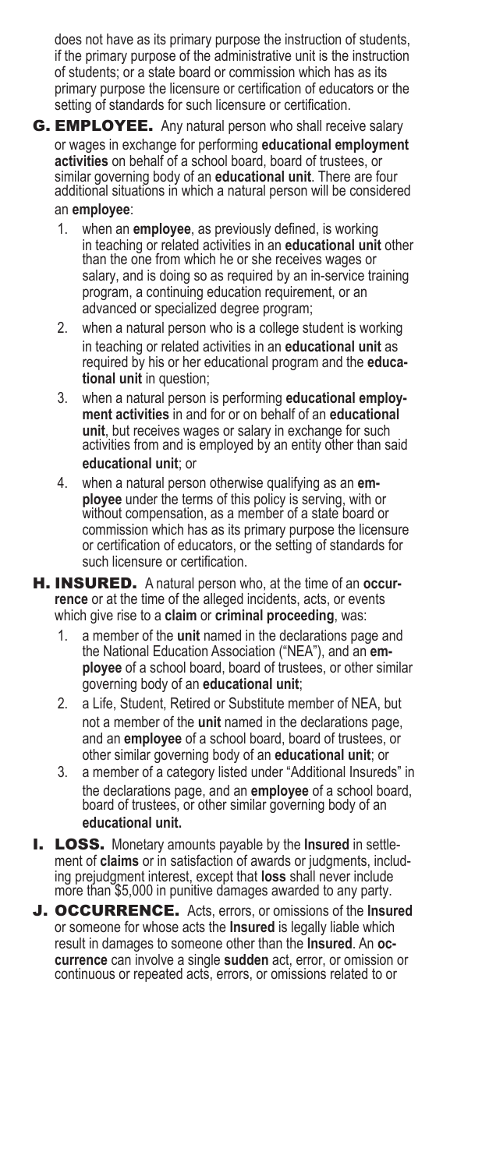does not have as its primary purpose the instruction of students, if the primary purpose of the administrative unit is the instruction of students; or a state board or commission which has as its primary purpose the licensure or certification of educators or the setting of standards for such licensure or certification.

- **G. EMPLOYEE.** Any natural person who shall receive salary or wages in exchange for performing **educational employment activities** on behalf of a school board, board of trustees, or similar governing body of an **educational unit**. There are four additional situations in which a natural person will be considered an **employee**:
	- 1. when an **employee**, as previously defined, is working in teaching or related activities in an **educational unit** other than the one from which he or she receives wages or salary, and is doing so as required by an in-service training program, a continuing education requirement, or an advanced or specialized degree program;
	- 2. when a natural person who is a college student is working in teaching or related activities in an **educational unit** as required by his or her educational program and the **educational unit** in question;
	- 3. when a natural person is performing **educational employment activities** in and for or on behalf of an **educational unit**, but receives wages or salary in exchange for such activities from and is employed by an entity other than said **educational unit**; or
	- 4. when a natural person otherwise qualifying as an **employee** under the terms of this policy is serving, with or without compensation, as a member of a state board or commission which has as its primary purpose the licensure or certification of educators, or the setting of standards for such licensure or certification.
- H. INSURED. A natural person who, at the time of an **occurrence** or at the time of the alleged incidents, acts, or events which give rise to a **claim** or **criminal proceeding**, was:
	- 1. a member of the **unit** named in the declarations page and the National Education Association ("NEA"), and an **employee** of a school board, board of trustees, or other similar governing body of an **educational unit**;
	- 2. a Life, Student, Retired or Substitute member of NEA, but not a member of the **unit** named in the declarations page, and an **employee** of a school board, board of trustees, or other similar governing body of an **educational unit**; or
	- 3. a member of a category listed under "Additional Insureds" in the declarations page, and an **employee** of a school board, board of trustees, or other similar governing body of an **educational unit.**
- I. LOSS. Monetary amounts payable by the **Insured** in settlement of **claims** or in satisfaction of awards or judgments, including prejudgment interest, except that **loss** shall never include more than \$5,000 in punitive damages awarded to any party.
- J. OCCURRENCE. Acts, errors, or omissions of the **Insured** or someone for whose acts the **Insured** is legally liable which result in damages to someone other than the **Insured**. An **occurrence** can involve a single **sudden** act, error, or omission or continuous or repeated acts, errors, or omissions related to or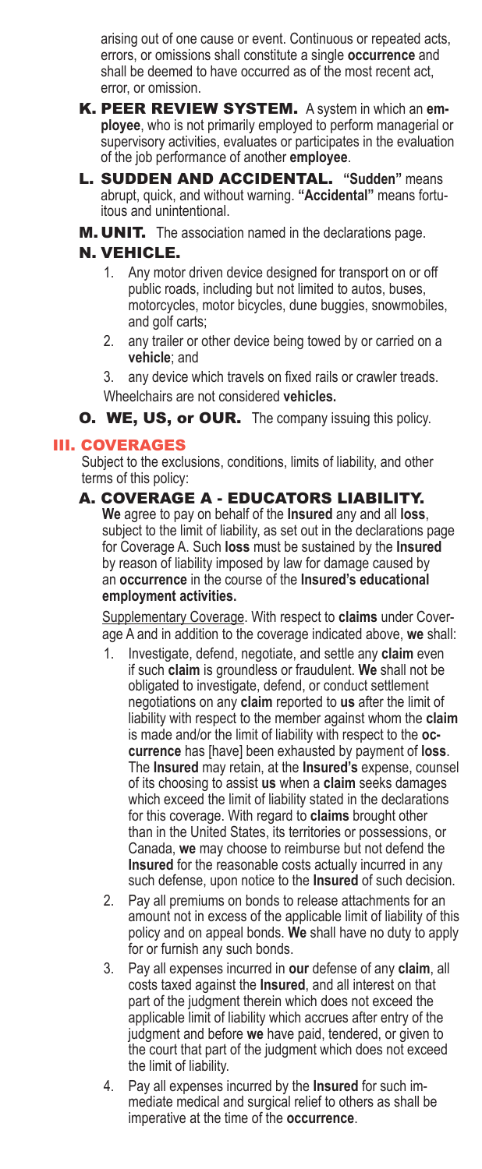arising out of one cause or event. Continuous or repeated acts, errors, or omissions shall constitute a single **occurrence** and shall be deemed to have occurred as of the most recent act, error, or omission.

- K. PEER REVIEW SYSTEM. A system in which an **employee**, who is not primarily employed to perform managerial or supervisory activities, evaluates or participates in the evaluation of the job performance of another **employee**.
- L. SUDDEN AND ACCIDENTAL. **"Sudden"** means abrupt, quick, and without warning. **"Accidental"** means fortuitous and unintentional.
- M. UNIT. The association named in the declarations page.

# N. VEHICLE.

- 1. Any motor driven device designed for transport on or off public roads, including but not limited to autos, buses, motorcycles, motor bicycles, dune buggies, snowmobiles, and golf carts;
- 2. any trailer or other device being towed by or carried on a **vehicle**; and
- 3. any device which travels on fixed rails or crawler treads.
- Wheelchairs are not considered **vehicles.**
- **O. WE, US, or OUR.** The company issuing this policy.

# III. COVERAGES

Subject to the exclusions, conditions, limits of liability, and other terms of this policy:

# A. COVERAGE A - EDUCATORS LIABILITY.

**We** agree to pay on behalf of the **Insured** any and all **loss**, subject to the limit of liability, as set out in the declarations page for Coverage A. Such **loss** must be sustained by the **Insured** by reason of liability imposed by law for damage caused by an **occurrence** in the course of the **Insured's educational employment activities.**

Supplementary Coverage. With respect to **claims** under Coverage A and in addition to the coverage indicated above, **we** shall:

- 1. Investigate, defend, negotiate, and settle any **claim** even if such **claim** is groundless or fraudulent. **We** shall not be obligated to investigate, defend, or conduct settlement negotiations on any **claim** reported to **us** after the limit of liability with respect to the member against whom the **claim** is made and/or the limit of liability with respect to the **occurrence** has [have] been exhausted by payment of **loss**. The **Insured** may retain, at the **Insured's** expense, counsel of its choosing to assist **us** when a **claim** seeks damages which exceed the limit of liability stated in the declarations for this coverage. With regard to **claims** brought other than in the United States, its territories or possessions, or Canada, **we** may choose to reimburse but not defend the **Insured** for the reasonable costs actually incurred in any such defense, upon notice to the **Insured** of such decision.
- 2. Pay all premiums on bonds to release attachments for an amount not in excess of the applicable limit of liability of this policy and on appeal bonds. **We** shall have no duty to apply for or furnish any such bonds.
- 3. Pay all expenses incurred in **our** defense of any **claim**, all costs taxed against the **Insured**, and all interest on that part of the judgment therein which does not exceed the applicable limit of liability which accrues after entry of the judgment and before **we** have paid, tendered, or given to the court that part of the judgment which does not exceed the limit of liability.
- 4. Pay all expenses incurred by the **Insured** for such immediate medical and surgical relief to others as shall be imperative at the time of the **occurrence**.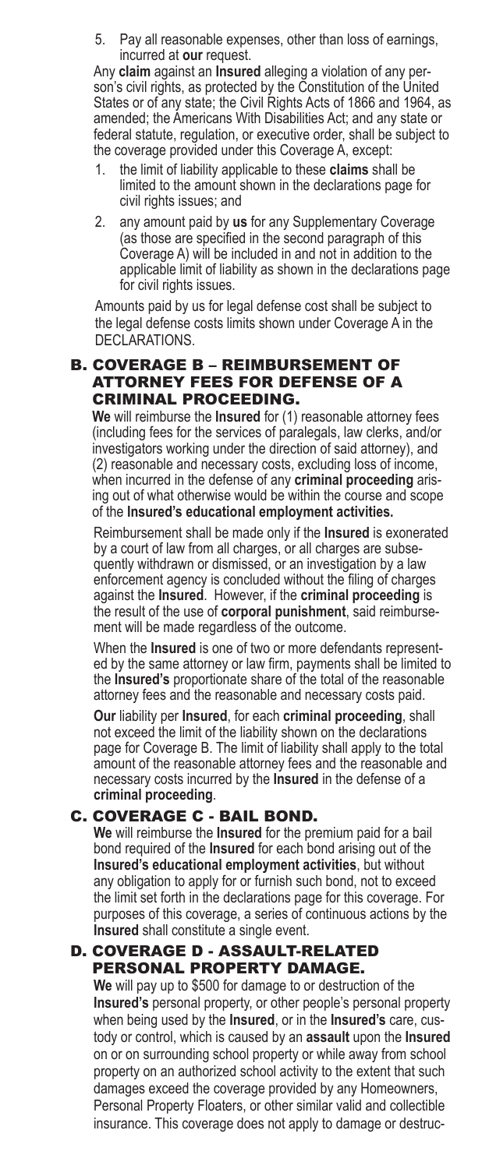5. Pay all reasonable expenses, other than loss of earnings, incurred at **our** request.

Any **claim** against an **Insured** alleging a violation of any person's civil rights, as protected by the Constitution of the United States or of any state; the Civil Rights Acts of 1866 and 1964, as amended; the Americans With Disabilities Act; and any state or federal statute, regulation, or executive order, shall be subject to the coverage provided under this Coverage A, except:

- 1. the limit of liability applicable to these **claims** shall be limited to the amount shown in the declarations page for civil rights issues; and
- 2. any amount paid by **us** for any Supplementary Coverage (as those are specified in the second paragraph of this Coverage A) will be included in and not in addition to the applicable limit of liability as shown in the declarations page for civil rights issues.

Amounts paid by us for legal defense cost shall be subject to the legal defense costs limits shown under Coverage A in the DECLARATIONS.

# B. COVERAGE B – REIMBURSEMENT OF ATTORNEY FEES FOR DEFENSE OF A CRIMINAL PROCEEDING.

**We** will reimburse the **Insured** for (1) reasonable attorney fees (including fees for the services of paralegals, law clerks, and/or investigators working under the direction of said attorney), and (2) reasonable and necessary costs, excluding loss of income, when incurred in the defense of any **criminal proceeding** arising out of what otherwise would be within the course and scope of the **Insured's educational employment activities.**

Reimbursement shall be made only if the **Insured** is exonerated by a court of law from all charges, or all charges are subsequently withdrawn or dismissed, or an investigation by a law enforcement agency is concluded without the filing of charges against the **Insured**. However, if the **criminal proceeding** is the result of the use of **corporal punishment**, said reimbursement will be made regardless of the outcome.

When the **Insured** is one of two or more defendants represented by the same attorney or law firm, payments shall be limited to the **Insured's** proportionate share of the total of the reasonable attorney fees and the reasonable and necessary costs paid.

**Our** liability per **Insured**, for each **criminal proceeding**, shall not exceed the limit of the liability shown on the declarations page for Coverage B. The limit of liability shall apply to the total amount of the reasonable attorney fees and the reasonable and necessary costs incurred by the **Insured** in the defense of a **criminal proceeding**.

# C. COVERAGE C - BAIL BOND.

**We** will reimburse the **Insured** for the premium paid for a bail bond required of the **Insured** for each bond arising out of the **Insured's educational employment activities**, but without any obligation to apply for or furnish such bond, not to exceed the limit set forth in the declarations page for this coverage. For purposes of this coverage, a series of continuous actions by the **Insured** shall constitute a single event.

# D. COVERAGE D - ASSAULT-RELATED PERSONAL PROPERTY DAMAGE.

**We** will pay up to \$500 for damage to or destruction of the **Insured's** personal property, or other people's personal property when being used by the **Insured**, or in the **Insured's** care, custody or control, which is caused by an **assault** upon the **Insured** on or on surrounding school property or while away from school property on an authorized school activity to the extent that such damages exceed the coverage provided by any Homeowners, Personal Property Floaters, or other similar valid and collectible insurance. This coverage does not apply to damage or destruc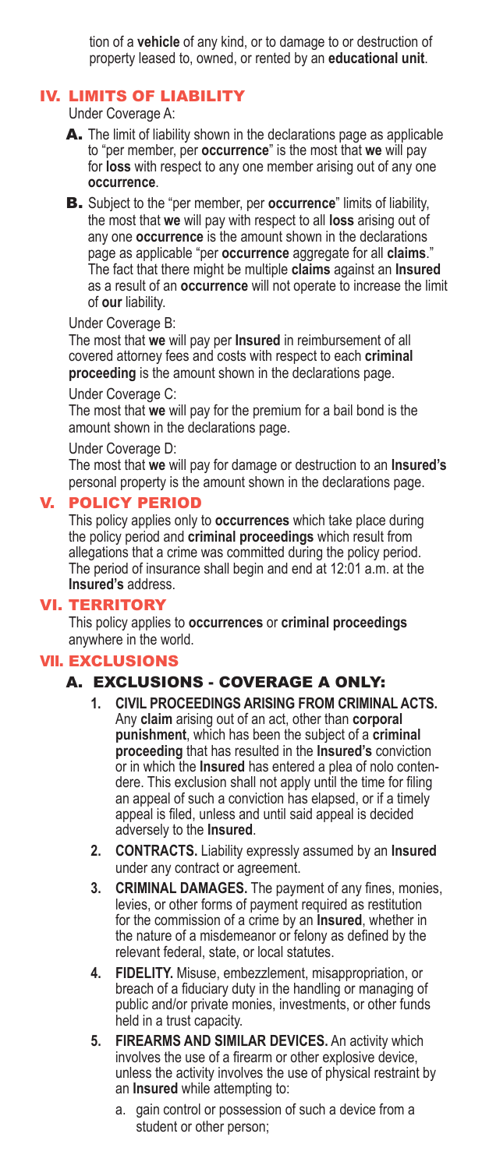tion of a **vehicle** of any kind, or to damage to or destruction of property leased to, owned, or rented by an **educational unit**.

#### IV. LIMITS OF LIABILITY

Under Coverage A:

- A. The limit of liability shown in the declarations page as applicable to "per member, per **occurrence**" is the most that **we** will pay for **loss** with respect to any one member arising out of any one **occurrence**.
- B. Subject to the "per member, per **occurrence**" limits of liability, the most that **we** will pay with respect to all **loss** arising out of any one **occurrence** is the amount shown in the declarations page as applicable "per **occurrence** aggregate for all **claims**." The fact that there might be multiple **claims** against an **Insured** as a result of an **occurrence** will not operate to increase the limit of **our** liability.

#### Under Coverage B:

The most that **we** will pay per **Insured** in reimbursement of all covered attorney fees and costs with respect to each **criminal proceeding** is the amount shown in the declarations page.

#### Under Coverage C:

The most that **we** will pay for the premium for a bail bond is the amount shown in the declarations page.

#### Under Coverage D:

The most that **we** will pay for damage or destruction to an **Insured's** personal property is the amount shown in the declarations page.

#### V. POLICY PERIOD

This policy applies only to **occurrences** which take place during the policy period and **criminal proceedings** which result from allegations that a crime was committed during the policy period. The period of insurance shall begin and end at 12:01 a.m. at the **Insured's** address.

#### VI. TERRITORY

This policy applies to **occurrences** or **criminal proceedings** anywhere in the world.

#### VII. EXCLUSIONS

# A. EXCLUSIONS - COVERAGE A ONLY:

- **1. CIVIL PROCEEDINGS ARISING FROM CRIMINAL ACTS.**  Any **claim** arising out of an act, other than **corporal punishment**, which has been the subject of a **criminal proceeding** that has resulted in the **Insured's** conviction or in which the **Insured** has entered a plea of nolo contendere. This exclusion shall not apply until the time for filing an appeal of such a conviction has elapsed, or if a timely appeal is filed, unless and until said appeal is decided adversely to the **Insured**.
- **2. CONTRACTS.** Liability expressly assumed by an **Insured** under any contract or agreement.
- **3. CRIMINAL DAMAGES.** The payment of any fines, monies, levies, or other forms of payment required as restitution for the commission of a crime by an **Insured**, whether in the nature of a misdemeanor or felony as defined by the relevant federal, state, or local statutes.
- **4. FIDELITY.** Misuse, embezzlement, misappropriation, or breach of a fiduciary duty in the handling or managing of public and/or private monies, investments, or other funds held in a trust capacity.
- **5. FIREARMS AND SIMILAR DEVICES.** An activity which involves the use of a firearm or other explosive device, unless the activity involves the use of physical restraint by an **Insured** while attempting to:
	- a. gain control or possession of such a device from a student or other person;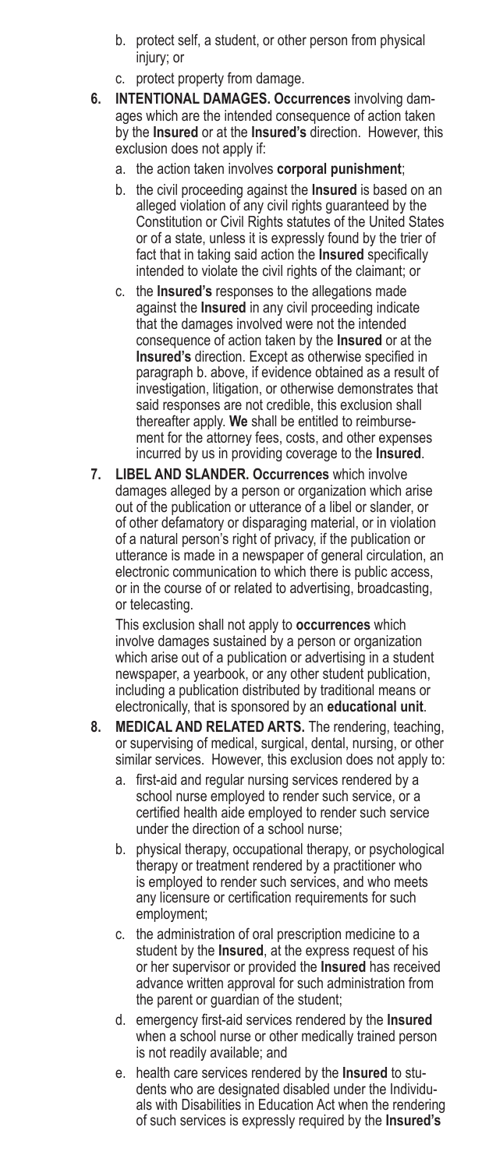- b. protect self, a student, or other person from physical injury; or
- c. protect property from damage.
- **6. INTENTIONAL DAMAGES. Occurrences** involving damages which are the intended consequence of action taken by the **Insured** or at the **Insured's** direction. However, this exclusion does not apply if:
	- a. the action taken involves **corporal punishment**;
	- b. the civil proceeding against the **Insured** is based on an alleged violation of any civil rights guaranteed by the Constitution or Civil Rights statutes of the United States or of a state, unless it is expressly found by the trier of fact that in taking said action the **Insured** specifically intended to violate the civil rights of the claimant; or
	- c. the **Insured's** responses to the allegations made against the **Insured** in any civil proceeding indicate that the damages involved were not the intended consequence of action taken by the **Insured** or at the **Insured's** direction. Except as otherwise specified in paragraph b. above, if evidence obtained as a result of investigation, litigation, or otherwise demonstrates that said responses are not credible, this exclusion shall thereafter apply. **We** shall be entitled to reimbursement for the attorney fees, costs, and other expenses incurred by us in providing coverage to the **Insured**.
- **7. LIBEL AND SLANDER. Occurrences** which involve damages alleged by a person or organization which arise out of the publication or utterance of a libel or slander, or of other defamatory or disparaging material, or in violation of a natural person's right of privacy, if the publication or utterance is made in a newspaper of general circulation, an electronic communication to which there is public access, or in the course of or related to advertising, broadcasting, or telecasting.

This exclusion shall not apply to **occurrences** which involve damages sustained by a person or organization which arise out of a publication or advertising in a student newspaper, a yearbook, or any other student publication, including a publication distributed by traditional means or electronically, that is sponsored by an **educational unit**.

- **8. MEDICAL AND RELATED ARTS.** The rendering, teaching, or supervising of medical, surgical, dental, nursing, or other similar services. However, this exclusion does not apply to:
	- a. first-aid and regular nursing services rendered by a school nurse employed to render such service, or a certified health aide employed to render such service under the direction of a school nurse;
	- b. physical therapy, occupational therapy, or psychological therapy or treatment rendered by a practitioner who is employed to render such services, and who meets any licensure or certification requirements for such employment;
	- c. the administration of oral prescription medicine to a student by the **Insured**, at the express request of his or her supervisor or provided the **Insured** has received advance written approval for such administration from the parent or guardian of the student;
	- d. emergency first-aid services rendered by the **Insured** when a school nurse or other medically trained person is not readily available; and
	- e. health care services rendered by the **Insured** to students who are designated disabled under the Individuals with Disabilities in Education Act when the rendering of such services is expressly required by the **Insured's**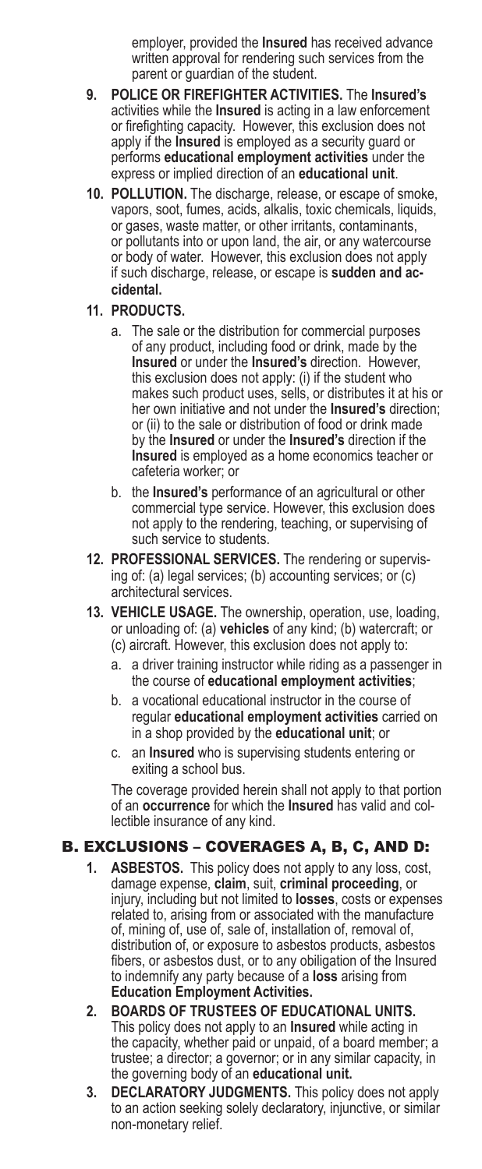employer, provided the **Insured** has received advance written approval for rendering such services from the parent or quardian of the student.

- **9. POLICE OR FIREFIGHTER ACTIVITIES.** The **Insured's**  activities while the **Insured** is acting in a law enforcement or firefighting capacity. However, this exclusion does not apply if the **Insured** is employed as a security guard or performs **educational employment activities** under the express or implied direction of an **educational unit**.
- **10. POLLUTION.** The discharge, release, or escape of smoke, vapors, soot, fumes, acids, alkalis, toxic chemicals, liquids, or gases, waste matter, or other irritants, contaminants, or pollutants into or upon land, the air, or any watercourse or body of water. However, this exclusion does not apply if such discharge, release, or escape is **sudden and accidental.**

#### **11. PRODUCTS.**

- a. The sale or the distribution for commercial purposes of any product, including food or drink, made by the **Insured** or under the **Insured's** direction. However, this exclusion does not apply: (i) if the student who makes such product uses, sells, or distributes it at his or her own initiative and not under the **Insured's** direction; or (ii) to the sale or distribution of food or drink made by the **Insured** or under the **Insured's** direction if the **Insured** is employed as a home economics teacher or cafeteria worker; or
- b. the **Insured's** performance of an agricultural or other commercial type service. However, this exclusion does not apply to the rendering, teaching, or supervising of such service to students.
- **12. PROFESSIONAL SERVICES.** The rendering or supervising of: (a) legal services; (b) accounting services; or (c) architectural services.
- **13. VEHICLE USAGE.** The ownership, operation, use, loading, or unloading of: (a) **vehicles** of any kind; (b) watercraft; or (c) aircraft. However, this exclusion does not apply to:
	- a. a driver training instructor while riding as a passenger in the course of **educational employment activities**;
	- b. a vocational educational instructor in the course of regular **educational employment activities** carried on in a shop provided by the **educational unit**; or
	- c. an **Insured** who is supervising students entering or exiting a school bus.

The coverage provided herein shall not apply to that portion of an **occurrence** for which the **Insured** has valid and collectible insurance of any kind.

# B. EXCLUSIONS – COVERAGES A, B, C, AND D:

- **1. ASBESTOS.** This policy does not apply to any loss, cost, damage expense, **claim**, suit, **criminal proceeding**, or injury, including but not limited to **losses**, costs or expenses related to, arising from or associated with the manufacture of, mining of, use of, sale of, installation of, removal of, distribution of, or exposure to asbestos products, asbestos fibers, or asbestos dust, or to any obiligation of the Insured to indemnify any party because of a **loss** arising from **Education Employment Activities.**
- **2. BOARDS OF TRUSTEES OF EDUCATIONAL UNITS.**  This policy does not apply to an **Insured** while acting in the capacity, whether paid or unpaid, of a board member; a trustee; a director; a governor; or in any similar capacity, in the governing body of an **educational unit.**
- **3. DECLARATORY JUDGMENTS.** This policy does not apply to an action seeking solely declaratory, injunctive, or similar non-monetary relief.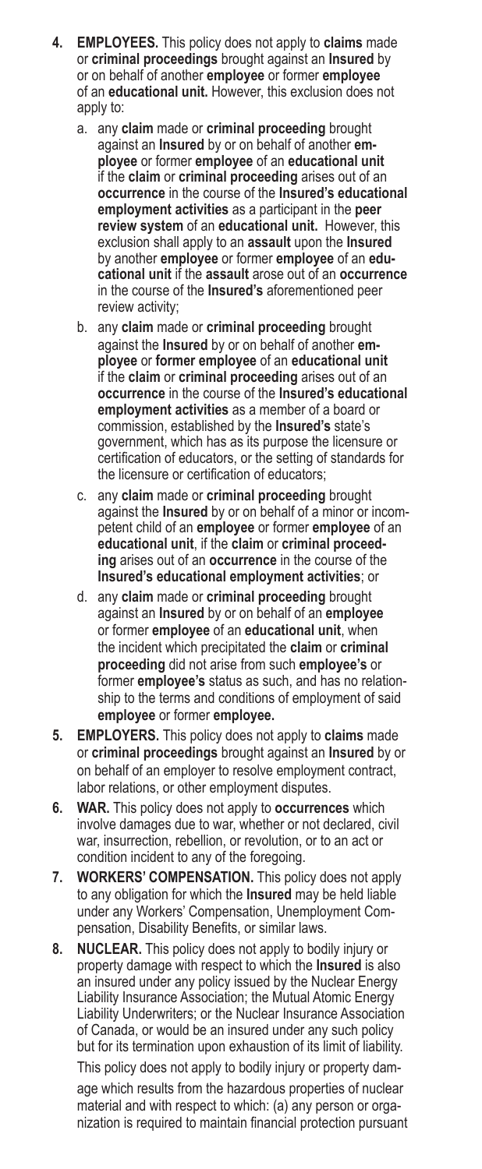- **4. EMPLOYEES.** This policy does not apply to **claims** made or **criminal proceedings** brought against an **Insured** by or on behalf of another **employee** or former **employee**  of an **educational unit.** However, this exclusion does not apply to:
	- a. any **claim** made or **criminal proceeding** brought against an **Insured** by or on behalf of another **employee** or former **employee** of an **educational unit** if the **claim** or **criminal proceeding** arises out of an **occurrence** in the course of the **Insured's educational employment activities** as a participant in the **peer review system** of an **educational unit.** However, this exclusion shall apply to an **assault** upon the **Insured** by another **employee** or former **employee** of an **educational unit** if the **assault** arose out of an **occurrence** in the course of the **Insured's** aforementioned peer review activity;
	- b. any **claim** made or **criminal proceeding** brought against the **Insured** by or on behalf of another **employee** or **former employee** of an **educational unit**  if the **claim** or **criminal proceeding** arises out of an **occurrence** in the course of the **Insured's educational employment activities** as a member of a board or commission, established by the **Insured's** state's government, which has as its purpose the licensure or certification of educators, or the setting of standards for the licensure or certification of educators;
	- c. any **claim** made or **criminal proceeding** brought against the **Insured** by or on behalf of a minor or incompetent child of an **employee** or former **employee** of an **educational unit**, if the **claim** or **criminal proceeding** arises out of an **occurrence** in the course of the **Insured's educational employment activities**; or
	- d. any **claim** made or **criminal proceeding** brought against an **Insured** by or on behalf of an **employee** or former **employee** of an **educational unit**, when the incident which precipitated the **claim** or **criminal proceeding** did not arise from such **employee's** or former **employee's** status as such, and has no relationship to the terms and conditions of employment of said **employee** or former **employee.**
- **5. EMPLOYERS.** This policy does not apply to **claims** made or **criminal proceedings** brought against an **Insured** by or on behalf of an employer to resolve employment contract, labor relations, or other employment disputes.
- **6. WAR.** This policy does not apply to **occurrences** which involve damages due to war, whether or not declared, civil war, insurrection, rebellion, or revolution, or to an act or condition incident to any of the foregoing.
- **7. WORKERS' COMPENSATION.** This policy does not apply to any obligation for which the **Insured** may be held liable under any Workers' Compensation, Unemployment Compensation, Disability Benefits, or similar laws.
- **8. NUCLEAR.** This policy does not apply to bodily injury or property damage with respect to which the **Insured** is also an insured under any policy issued by the Nuclear Energy Liability Insurance Association; the Mutual Atomic Energy Liability Underwriters; or the Nuclear Insurance Association of Canada, or would be an insured under any such policy but for its termination upon exhaustion of its limit of liability.

This policy does not apply to bodily injury or property damage which results from the hazardous properties of nuclear material and with respect to which: (a) any person or organization is required to maintain financial protection pursuant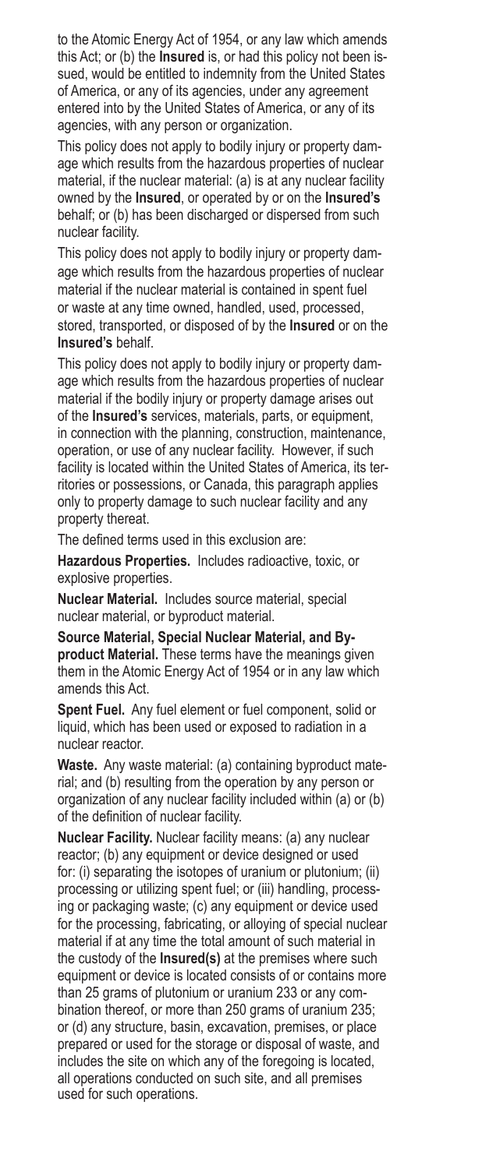to the Atomic Energy Act of 1954, or any law which amends this Act; or (b) the **Insured** is, or had this policy not been issued, would be entitled to indemnity from the United States of America, or any of its agencies, under any agreement entered into by the United States of America, or any of its agencies, with any person or organization.

This policy does not apply to bodily injury or property damage which results from the hazardous properties of nuclear material, if the nuclear material: (a) is at any nuclear facility owned by the **Insured**, or operated by or on the **Insured's** behalf; or (b) has been discharged or dispersed from such nuclear facility.

This policy does not apply to bodily injury or property damage which results from the hazardous properties of nuclear material if the nuclear material is contained in spent fuel or waste at any time owned, handled, used, processed, stored, transported, or disposed of by the **Insured** or on the **Insured's** behalf.

This policy does not apply to bodily injury or property damage which results from the hazardous properties of nuclear material if the bodily injury or property damage arises out of the **Insured's** services, materials, parts, or equipment, in connection with the planning, construction, maintenance, operation, or use of any nuclear facility. However, if such facility is located within the United States of America, its territories or possessions, or Canada, this paragraph applies only to property damage to such nuclear facility and any property thereat.

The defined terms used in this exclusion are:

**Hazardous Properties.** Includes radioactive, toxic, or explosive properties.

**Nuclear Material.** Includes source material, special nuclear material, or byproduct material.

**Source Material, Special Nuclear Material, and Byproduct Material.** These terms have the meanings given them in the Atomic Energy Act of 1954 or in any law which amends this Act.

**Spent Fuel.** Any fuel element or fuel component, solid or liquid, which has been used or exposed to radiation in a nuclear reactor.

**Waste.** Any waste material: (a) containing byproduct material; and (b) resulting from the operation by any person or organization of any nuclear facility included within (a) or (b) of the definition of nuclear facility.

**Nuclear Facility.** Nuclear facility means: (a) any nuclear reactor; (b) any equipment or device designed or used for: (i) separating the isotopes of uranium or plutonium; (ii) processing or utilizing spent fuel; or (iii) handling, processing or packaging waste; (c) any equipment or device used for the processing, fabricating, or alloying of special nuclear material if at any time the total amount of such material in the custody of the **Insured(s)** at the premises where such equipment or device is located consists of or contains more than 25 grams of plutonium or uranium 233 or any combination thereof, or more than 250 grams of uranium 235; or (d) any structure, basin, excavation, premises, or place prepared or used for the storage or disposal of waste, and includes the site on which any of the foregoing is located, all operations conducted on such site, and all premises used for such operations.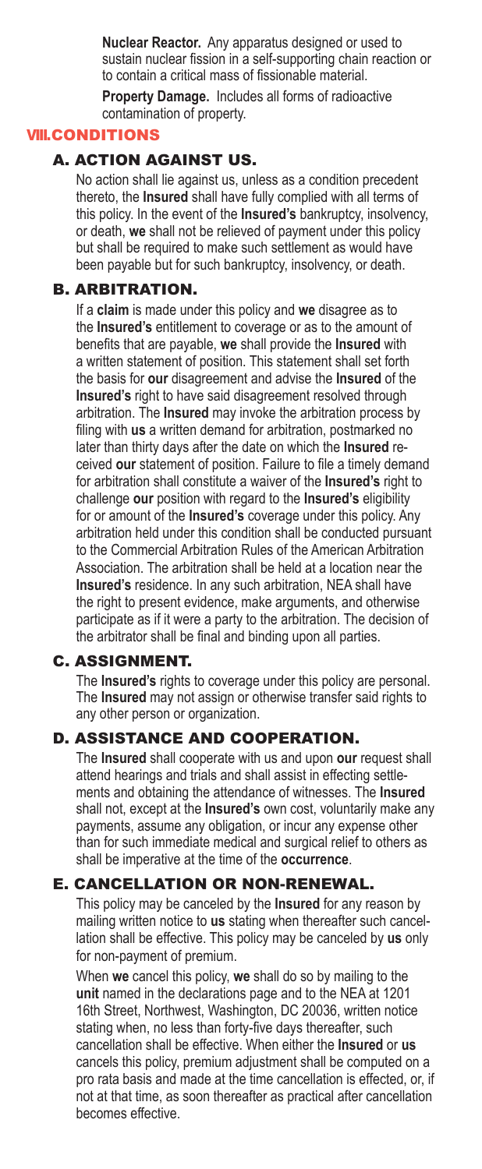**Nuclear Reactor.** Any apparatus designed or used to sustain nuclear fission in a self-supporting chain reaction or to contain a critical mass of fissionable material.

**Property Damage.** Includes all forms of radioactive contamination of property.

# VIII.CONDITIONS

#### A. ACTION AGAINST US.

No action shall lie against us, unless as a condition precedent thereto, the **Insured** shall have fully complied with all terms of this policy. In the event of the **Insured's** bankruptcy, insolvency, or death, **we** shall not be relieved of payment under this policy but shall be required to make such settlement as would have been payable but for such bankruptcy, insolvency, or death.

#### B. ARBITRATION.

If a **claim** is made under this policy and **we** disagree as to the **Insured's** entitlement to coverage or as to the amount of benefits that are payable, **we** shall provide the **Insured** with a written statement of position. This statement shall set forth the basis for **our** disagreement and advise the **Insured** of the **Insured's** right to have said disagreement resolved through arbitration. The **Insured** may invoke the arbitration process by filing with **us** a written demand for arbitration, postmarked no later than thirty days after the date on which the **Insured** received **our** statement of position. Failure to file a timely demand for arbitration shall constitute a waiver of the **Insured's** right to challenge **our** position with regard to the **Insured's** eligibility for or amount of the **Insured's** coverage under this policy. Any arbitration held under this condition shall be conducted pursuant to the Commercial Arbitration Rules of the American Arbitration Association. The arbitration shall be held at a location near the **Insured's** residence. In any such arbitration, NEA shall have the right to present evidence, make arguments, and otherwise participate as if it were a party to the arbitration. The decision of the arbitrator shall be final and binding upon all parties.

# C. ASSIGNMENT.

The **Insured's** rights to coverage under this policy are personal. The **Insured** may not assign or otherwise transfer said rights to any other person or organization.

# D. ASSISTANCE AND COOPERATION.

The **Insured** shall cooperate with us and upon **our** request shall attend hearings and trials and shall assist in effecting settlements and obtaining the attendance of witnesses. The **Insured**  shall not, except at the **Insured's** own cost, voluntarily make any payments, assume any obligation, or incur any expense other than for such immediate medical and surgical relief to others as shall be imperative at the time of the **occurrence**.

#### E. CANCELLATION OR NON-RENEWAL.

This policy may be canceled by the **Insured** for any reason by mailing written notice to **us** stating when thereafter such cancellation shall be effective. This policy may be canceled by **us** only for non-payment of premium.

When **we** cancel this policy, **we** shall do so by mailing to the **unit** named in the declarations page and to the NEA at 1201 16th Street, Northwest, Washington, DC 20036, written notice stating when, no less than forty-five days thereafter, such cancellation shall be effective. When either the **Insured** or **us** cancels this policy, premium adjustment shall be computed on a pro rata basis and made at the time cancellation is effected, or, if not at that time, as soon thereafter as practical after cancellation becomes effective.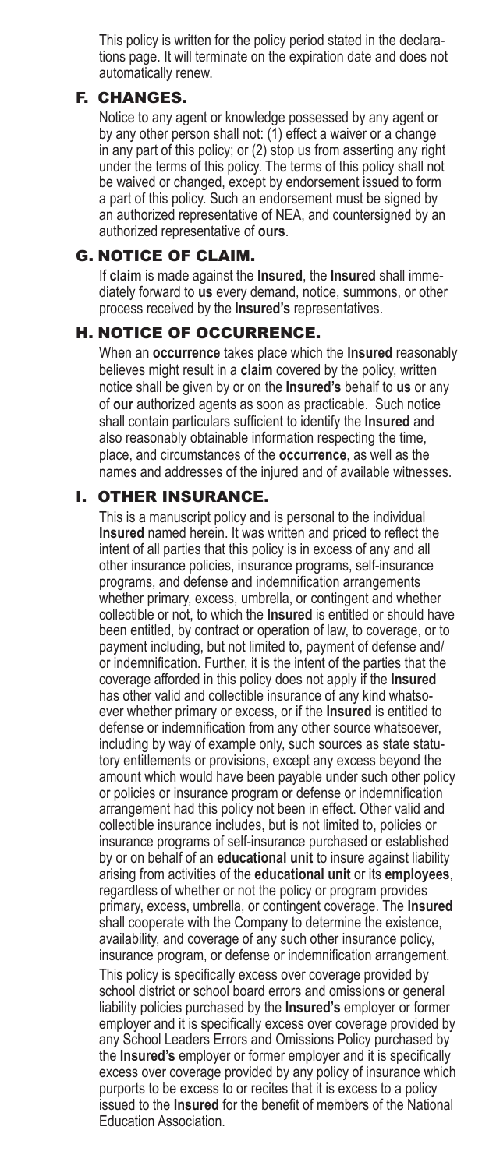This policy is written for the policy period stated in the declarations page. It will terminate on the expiration date and does not automatically renew.

### F. CHANGES.

Notice to any agent or knowledge possessed by any agent or by any other person shall not: (1) effect a waiver or a change in any part of this policy; or (2) stop us from asserting any right under the terms of this policy. The terms of this policy shall not be waived or changed, except by endorsement issued to form a part of this policy. Such an endorsement must be signed by an authorized representative of NEA, and countersigned by an authorized representative of **ours**.

## G. NOTICE OF CLAIM.

If **claim** is made against the **Insured**, the **Insured** shall immediately forward to **us** every demand, notice, summons, or other process received by the **Insured's** representatives.

#### H. NOTICE OF OCCURRENCE.

When an **occurrence** takes place which the **Insured** reasonably believes might result in a **claim** covered by the policy, written notice shall be given by or on the **Insured's** behalf to **us** or any of **our** authorized agents as soon as practicable. Such notice shall contain particulars sufficient to identify the **Insured** and also reasonably obtainable information respecting the time, place, and circumstances of the **occurrence**, as well as the names and addresses of the injured and of available witnesses.

### I. OTHER INSURANCE.

This is a manuscript policy and is personal to the individual **Insured** named herein. It was written and priced to reflect the intent of all parties that this policy is in excess of any and all other insurance policies, insurance programs, self-insurance programs, and defense and indemnification arrangements whether primary, excess, umbrella, or contingent and whether collectible or not, to which the **Insured** is entitled or should have been entitled, by contract or operation of law, to coverage, or to payment including, but not limited to, payment of defense and/ or indemnification. Further, it is the intent of the parties that the coverage afforded in this policy does not apply if the **Insured** has other valid and collectible insurance of any kind whatsoever whether primary or excess, or if the **Insured** is entitled to defense or indemnification from any other source whatsoever, including by way of example only, such sources as state statutory entitlements or provisions, except any excess beyond the amount which would have been payable under such other policy or policies or insurance program or defense or indemnification arrangement had this policy not been in effect. Other valid and collectible insurance includes, but is not limited to, policies or insurance programs of self-insurance purchased or established by or on behalf of an **educational unit** to insure against liability arising from activities of the **educational unit** or its **employees**, regardless of whether or not the policy or program provides primary, excess, umbrella, or contingent coverage. The **Insured** shall cooperate with the Company to determine the existence, availability, and coverage of any such other insurance policy, insurance program, or defense or indemnification arrangement.

This policy is specifically excess over coverage provided by school district or school board errors and omissions or general liability policies purchased by the **Insured's** employer or former employer and it is specifically excess over coverage provided by any School Leaders Errors and Omissions Policy purchased by the **Insured's** employer or former employer and it is specifically excess over coverage provided by any policy of insurance which purports to be excess to or recites that it is excess to a policy issued to the **Insured** for the benefit of members of the National Education Association.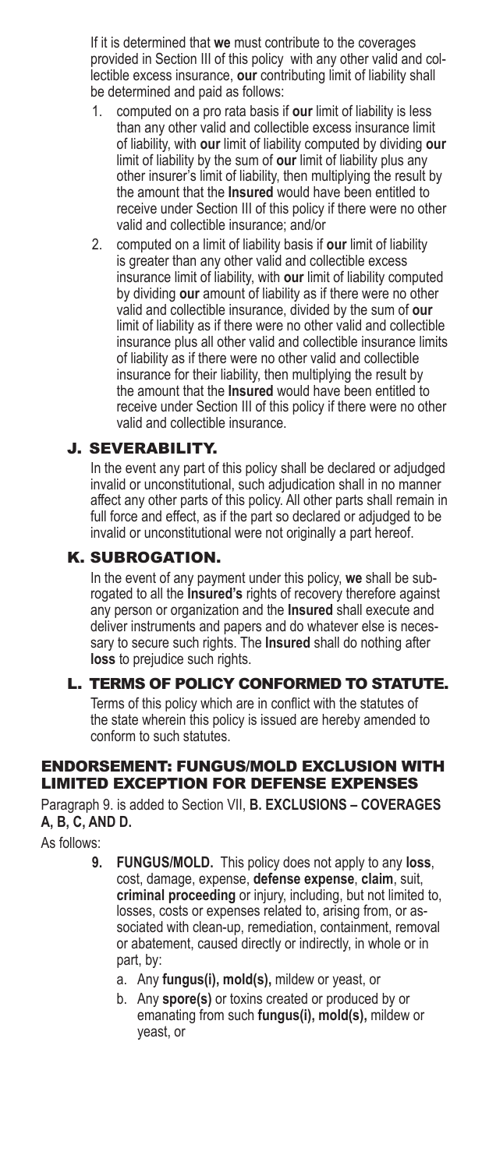If it is determined that **we** must contribute to the coverages provided in Section III of this policy with any other valid and collectible excess insurance, **our** contributing limit of liability shall be determined and paid as follows:

- 1. computed on a pro rata basis if **our** limit of liability is less than any other valid and collectible excess insurance limit of liability, with **our** limit of liability computed by dividing **our** limit of liability by the sum of **our** limit of liability plus any other insurer's limit of liability, then multiplying the result by the amount that the **Insured** would have been entitled to receive under Section III of this policy if there were no other valid and collectible insurance; and/or
- 2. computed on a limit of liability basis if **our** limit of liability is greater than any other valid and collectible excess insurance limit of liability, with **our** limit of liability computed by dividing **our** amount of liability as if there were no other valid and collectible insurance, divided by the sum of **our** limit of liability as if there were no other valid and collectible insurance plus all other valid and collectible insurance limits of liability as if there were no other valid and collectible insurance for their liability, then multiplying the result by the amount that the **Insured** would have been entitled to receive under Section III of this policy if there were no other valid and collectible insurance.

# J. SEVERABILITY.

In the event any part of this policy shall be declared or adjudged invalid or unconstitutional, such adjudication shall in no manner affect any other parts of this policy. All other parts shall remain in full force and effect, as if the part so declared or adjudged to be invalid or unconstitutional were not originally a part hereof.

### K. SUBROGATION.

In the event of any payment under this policy, **we** shall be subrogated to all the **Insured's** rights of recovery therefore against any person or organization and the **Insured** shall execute and deliver instruments and papers and do whatever else is necessary to secure such rights. The **Insured** shall do nothing after **loss** to prejudice such rights.

# L. TERMS OF POLICY CONFORMED TO STATUTE.

Terms of this policy which are in conflict with the statutes of the state wherein this policy is issued are hereby amended to conform to such statutes.

# ENDORSEMENT: FUNGUS/MOLD EXCLUSION WITH LIMITED EXCEPTION FOR DEFENSE EXPENSES

Paragraph 9. is added to Section VII, **B. EXCLUSIONS – COVERAGES A, B, C, AND D.**

As follows:

- **9. FUNGUS/MOLD.** This policy does not apply to any **loss**, cost, damage, expense, **defense expense**, **claim**, suit, **criminal proceeding** or injury, including, but not limited to, losses, costs or expenses related to, arising from, or associated with clean-up, remediation, containment, removal or abatement, caused directly or indirectly, in whole or in part, by:
	- a. Any **fungus(i), mold(s),** mildew or yeast, or
	- b. Any **spore(s)** or toxins created or produced by or emanating from such **fungus(i), mold(s),** mildew or yeast, or